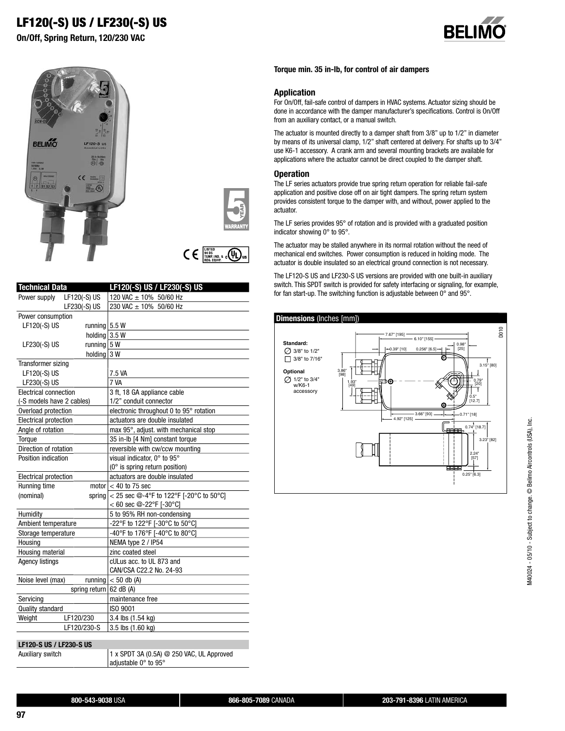# **LF120(-S) US / LF230(-S) US**

**On/Off, Spring Return, 120/230 VAC**









| <b>Technical Data</b>        |                           | LF120(-S) US / LF230(-S) US                           |
|------------------------------|---------------------------|-------------------------------------------------------|
| Power supply                 | LF120(-S) US              | 120 VAC ± 10% 50/60 Hz                                |
|                              | LF230(-S) US              | 230 VAC ± 10% 50/60 Hz                                |
| Power consumption            |                           |                                                       |
| LF120(-S) US                 | running $5.5 W$           |                                                       |
|                              | holding 3.5 W             |                                                       |
| LF230(-S) US                 | running $5W$              |                                                       |
|                              | holding 3 W               |                                                       |
| Transformer sizing           |                           |                                                       |
| LF120(-S) US                 |                           | 7.5 VA                                                |
| LF230(-S) US                 |                           | 7 VA                                                  |
| Electrical connection        |                           | 3 ft, 18 GA appliance cable                           |
| (-S models have 2 cables)    |                           | 1/2" conduit connector                                |
| Overload protection          |                           | electronic throughout 0 to 95° rotation               |
| <b>Electrical protection</b> |                           | actuators are double insulated                        |
| Angle of rotation            |                           | max 95°, adjust. with mechanical stop                 |
| Torque                       |                           | 35 in-lb [4 Nm] constant torque                       |
| Direction of rotation        |                           | reversible with cw/ccw mounting                       |
| Position indication          |                           | visual indicator, 0° to 95°                           |
|                              |                           | $(0^{\circ}$ is spring return position)               |
| Electrical protection        |                           | actuators are double insulated                        |
| Running time                 |                           | motor $< 40$ to 75 sec                                |
| (nominal)                    |                           | spring $ $ < 25 sec $@$ -4°F to 122°F [-20°C to 50°C] |
|                              |                           | $< 60$ sec @-22°F [-30°C]                             |
| Humidity                     |                           | 5 to 95% RH non-condensing                            |
| Ambient temperature          |                           | -22°F to 122°F [-30°C to 50°C]                        |
| Storage temperature          |                           | -40°F to 176°F [-40°C to 80°C]                        |
| Housing                      |                           | NEMA type 2 / IP54                                    |
| Housing material             |                           | zinc coated steel                                     |
| <b>Agency listings</b>       |                           | cULus acc. to UL 873 and                              |
|                              |                           | CAN/CSA C22.2 No. 24-93                               |
| Noise level (max)            |                           | running $<$ 50 db (A)                                 |
|                              | spring return $62$ dB (A) |                                                       |
| Servicing                    |                           | maintenance free                                      |
| <b>Quality standard</b>      |                           | ISO 9001                                              |
| LF120/230<br>Weight          |                           | 3.4 lbs (1.54 kg)                                     |
|                              | LF120/230-S               | 3.5 lbs (1.60 kg)                                     |
|                              |                           |                                                       |
| LF120-S US / LF230-S US      |                           |                                                       |
| Auxiliary switch             |                           | 1 x SPDT 3A (0.5A) @ 250 VAC, UL Approved             |

adjustable 0° to 95°

**Torque min. 35 in-lb, for control of air dampers**

#### **Application**

For On/Off, fail-safe control of dampers in HVAC systems. Actuator sizing should be done in accordance with the damper manufacturer's specifications. Control is On/Off from an auxiliary contact, or a manual switch.

The actuator is mounted directly to a damper shaft from 3/8" up to 1/2" in diameter by means of its universal clamp, 1/2" shaft centered at delivery. For shafts up to 3/4" use K6-1 accessory. A crank arm and several mounting brackets are available for applications where the actuator cannot be direct coupled to the damper shaft.

#### **Operation**

The LF series actuators provide true spring return operation for reliable fail-safe application and positive close off on air tight dampers. The spring return system provides consistent torque to the damper with, and without, power applied to the actuator.

The LF series provides 95° of rotation and is provided with a graduated position indicator showing 0° to 95°.

The actuator may be stalled anywhere in its normal rotation without the need of mechanical end switches. Power consumption is reduced in holding mode. The actuator is double insulated so an electrical ground connection is not necessary.

The LF120-S US and LF230-S US versions are provided with one built-in auxiliary switch. This SPDT switch is provided for safety interfacing or signaling, for example, for fan start-up. The switching function is adjustable between 0° and 95°.